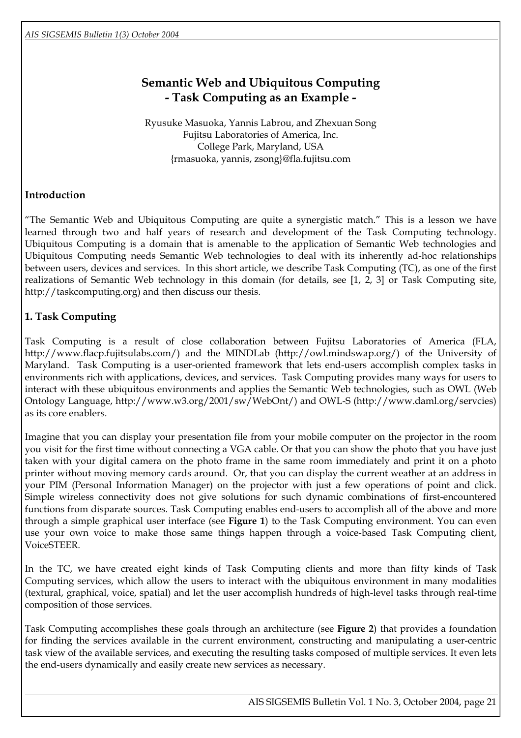# **Semantic Web and Ubiquitous Computing - Task Computing as an Example -**

Ryusuke Masuoka, Yannis Labrou, and Zhexuan Song Fujitsu Laboratories of America, Inc. College Park, Maryland, USA {rmasuoka, yannis, zsong}@fla.fujitsu.com

# **Introduction**

"The Semantic Web and Ubiquitous Computing are quite a synergistic match." This is a lesson we have learned through two and half years of research and development of the Task Computing technology. Ubiquitous Computing is a domain that is amenable to the application of Semantic Web technologies and Ubiquitous Computing needs Semantic Web technologies to deal with its inherently ad-hoc relationships between users, devices and services. In this short article, we describe Task Computing (TC), as one of the first realizations of Semantic Web technology in this domain (for details, see [1, 2, 3] or Task Computing site, http://taskcomputing.org) and then discuss our thesis.

# **1. Task Computing**

 $\overline{a}$ 

Task Computing is a result of close collaboration between Fujitsu Laboratories of America (FLA, http://www.flacp.fujitsulabs.com/) and the MINDLab (http://owl.mindswap.org/) of the University of Maryland. Task Computing is a user-oriented framework that lets end-users accomplish complex tasks in environments rich with applications, devices, and services. Task Computing provides many ways for users to interact with these ubiquitous environments and applies the Semantic Web technologies, such as OWL (Web Ontology Language, http://www.w3.org/2001/sw/WebOnt/) and OWL-S (http://www.daml.org/servcies) as its core enablers.

Imagine that you can display your presentation file from your mobile computer on the projector in the room you visit for the first time without connecting a VGA cable. Or that you can show the photo that you have just taken with your digital camera on the photo frame in the same room immediately and print it on a photo printer without moving memory cards around. Or, that you can display the current weather at an address in your PIM (Personal Information Manager) on the projector with just a few operations of point and click. Simple wireless connectivity does not give solutions for such dynamic combinations of first-encountered functions from disparate sources. Task Computing enables end-users to accomplish all of the above and more through a simple graphical user interface (see **[Figure 1](#page-1-0)**) to the Task Computing environment. You can even use your own voice to make those same things happen through a voice-based Task Computing client, VoiceSTEER.

In the TC, we have created eight kinds of Task Computing clients and more than fifty kinds of Task Computing services, which allow the users to interact with the ubiquitous environment in many modalities (textural, graphical, voice, spatial) and let the user accomplish hundreds of high-level tasks through real-time composition of those services.

Task Computing accomplishes these goals through an architecture (see **[Figure 2](#page-2-0)**) that provides a foundation for finding the services available in the current environment, constructing and manipulating a user-centric task view of the available services, and executing the resulting tasks composed of multiple services. It even lets the end-users dynamically and easily create new services as necessary.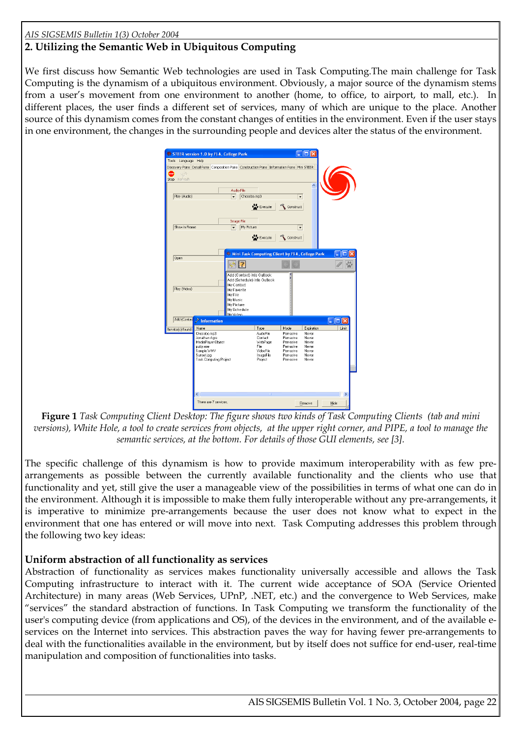#### *AIS SIGSEMIS Bulletin 1(3) October 2004*

## **2. Utilizing the Semantic Web in Ubiquitous Computing**

<span id="page-1-0"></span>We first discuss how Semantic Web technologies are used in Task Computing.The main challenge for Task Computing is the dynamism of a ubiquitous environment. Obviously, a major source of the dynamism stems from a user's movement from one environment to another (home, to office, to airport, to mall, etc.). In different places, the user finds a different set of services, many of which are unique to the place. Another source of this dynamism comes from the constant changes of entities in the environment. Even if the user stays in one environment, the changes in the surrounding people and devices alter the status of the environment.

| <b>W</b> STEER version 1.0 by FLA, College Park<br>Tools Language Help<br>Discovery Pane Detail Pane Composition Pane Construction Pane Information Pane Mini STEER<br><b>STOP</b><br>ij di<br>Refresh<br>Stop<br>Play (Audio)<br>Show in Frame | Audio File<br>Chocobo.mp3<br>$\overline{\phantom{a}}$<br>Image File<br>My Picture<br>$\overline{\phantom{a}}$                                          | <b>No</b> Execute<br>$\frac{1}{2}$ Execute                                                  | $\overline{\phantom{a}}$<br>Construct<br>$\overline{\phantom{a}}$<br>Construct                  | ſп                                                                        |       |
|-------------------------------------------------------------------------------------------------------------------------------------------------------------------------------------------------------------------------------------------------|--------------------------------------------------------------------------------------------------------------------------------------------------------|---------------------------------------------------------------------------------------------|-------------------------------------------------------------------------------------------------|---------------------------------------------------------------------------|-------|
|                                                                                                                                                                                                                                                 | Mini Task Computing Client by FLA, College Park                                                                                                        |                                                                                             |                                                                                                 |                                                                           |       |
| Open                                                                                                                                                                                                                                            |                                                                                                                                                        |                                                                                             |                                                                                                 |                                                                           |       |
| Play (Video)                                                                                                                                                                                                                                    | Add (Contact) into Outlook<br>Add (Schedule) into Outlook<br>My Contact<br>My Favorite<br>My File<br>My Music<br>My Picture<br>My Schedule<br>My Video |                                                                                             |                                                                                                 |                                                                           |       |
| Add (Contac<br>$\geq$ Information                                                                                                                                                                                                               |                                                                                                                                                        |                                                                                             |                                                                                                 |                                                                           | ıп    |
| Name<br>Service(s) found:<br>Chocobo.mp3<br>Jonathan Agre<br>MediaPlaver Obiect<br>putty.exe<br>Sample.WMV<br>Sunset.jpg<br><b>Task Computing Project</b>                                                                                       |                                                                                                                                                        | Type<br><b>AudioFile</b><br>Contact<br>WebPage<br>File<br>VideoFile<br>ImageFile<br>Project | Mode<br>Pervasive<br>Pervasive<br>Pervasive<br>Pervasive<br>Pervasive<br>Pervasive<br>Pervasive | Expiration<br>Never<br>Never<br>Never<br>Never<br>Never<br>Never<br>Never | Limit |
| ∢                                                                                                                                                                                                                                               |                                                                                                                                                        |                                                                                             |                                                                                                 |                                                                           |       |
| There are 7 services.                                                                                                                                                                                                                           |                                                                                                                                                        |                                                                                             |                                                                                                 | Remove                                                                    | Hide  |

**Figure 1** *Task Computing Client Desktop: The figure shows two kinds of Task Computing Clients (tab and mini versions), White Hole, a tool to create services from objects, at the upper right corner, and PIPE, a tool to manage the semantic services, at the bottom. For details of those GUI elements, see [3].* 

The specific challenge of this dynamism is how to provide maximum interoperability with as few prearrangements as possible between the currently available functionality and the clients who use that functionality and yet, still give the user a manageable view of the possibilities in terms of what one can do in the environment. Although it is impossible to make them fully interoperable without any pre-arrangements, it is imperative to minimize pre-arrangements because the user does not know what to expect in the environment that one has entered or will move into next. Task Computing addresses this problem through the following two key ideas:

#### **Uniform abstraction of all functionality as services**

 $\overline{a}$ 

Abstraction of functionality as services makes functionality universally accessible and allows the Task Computing infrastructure to interact with it. The current wide acceptance of SOA (Service Oriented Architecture) in many areas (Web Services, UPnP, .NET, etc.) and the convergence to Web Services, make "services" the standard abstraction of functions. In Task Computing we transform the functionality of the user's computing device (from applications and OS), of the devices in the environment, and of the available eservices on the Internet into services. This abstraction paves the way for having fewer pre-arrangements to deal with the functionalities available in the environment, but by itself does not suffice for end-user, real-time manipulation and composition of functionalities into tasks.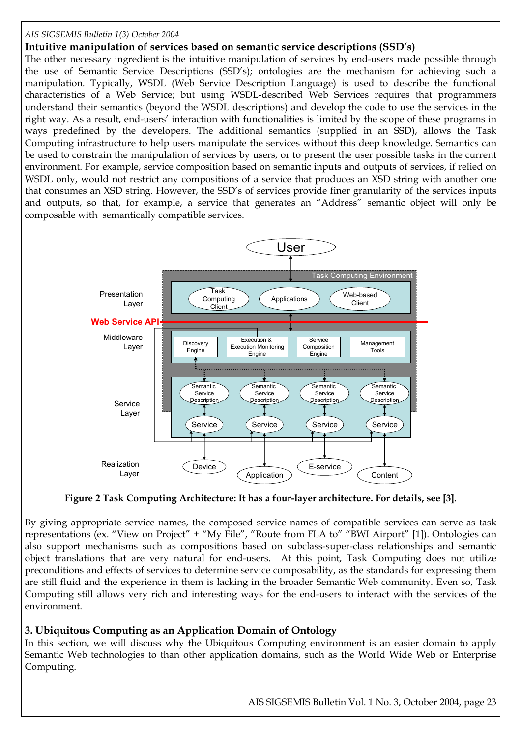#### *AIS SIGSEMIS Bulletin 1(3) October 2004*

**Intuitive manipulation of services based on semantic service descriptions (SSD's)** 

The other necessary ingredient is the intuitive manipulation of services by end-users made possible through the use of Semantic Service Descriptions (SSD's); ontologies are the mechanism for achieving such a manipulation. Typically, WSDL (Web Service Description Language) is used to describe the functional characteristics of a Web Service; but using WSDL-described Web Services requires that programmers understand their semantics (beyond the WSDL descriptions) and develop the code to use the services in the right way. As a result, end-users' interaction with functionalities is limited by the scope of these programs in ways predefined by the developers. The additional semantics (supplied in an SSD), allows the Task Computing infrastructure to help users manipulate the services without this deep knowledge. Semantics can be used to constrain the manipulation of services by users, or to present the user possible tasks in the current environment. For example, service composition based on semantic inputs and outputs of services, if relied on WSDL only, would not restrict any compositions of a service that produces an XSD string with another one that consumes an XSD string. However, the SSD's of services provide finer granularity of the services inputs and outputs, so that, for example, a service that generates an "Address" semantic object will only be composable with semantically compatible services.

<span id="page-2-0"></span>

**Figure 2 Task Computing Architecture: It has a four-layer architecture. For details, see [3].** 

By giving appropriate service names, the composed service names of compatible services can serve as task representations (ex. "View on Project" + "My File", "Route from FLA to" "BWI Airport" [1]). Ontologies can also support mechanisms such as compositions based on subclass-super-class relationships and semantic object translations that are very natural for end-users. At this point, Task Computing does not utilize preconditions and effects of services to determine service composability, as the standards for expressing them are still fluid and the experience in them is lacking in the broader Semantic Web community. Even so, Task Computing still allows very rich and interesting ways for the end-users to interact with the services of the environment.

## **3. Ubiquitous Computing as an Application Domain of Ontology**

 $\overline{a}$ 

In this section, we will discuss why the Ubiquitous Computing environment is an easier domain to apply Semantic Web technologies to than other application domains, such as the World Wide Web or Enterprise Computing.